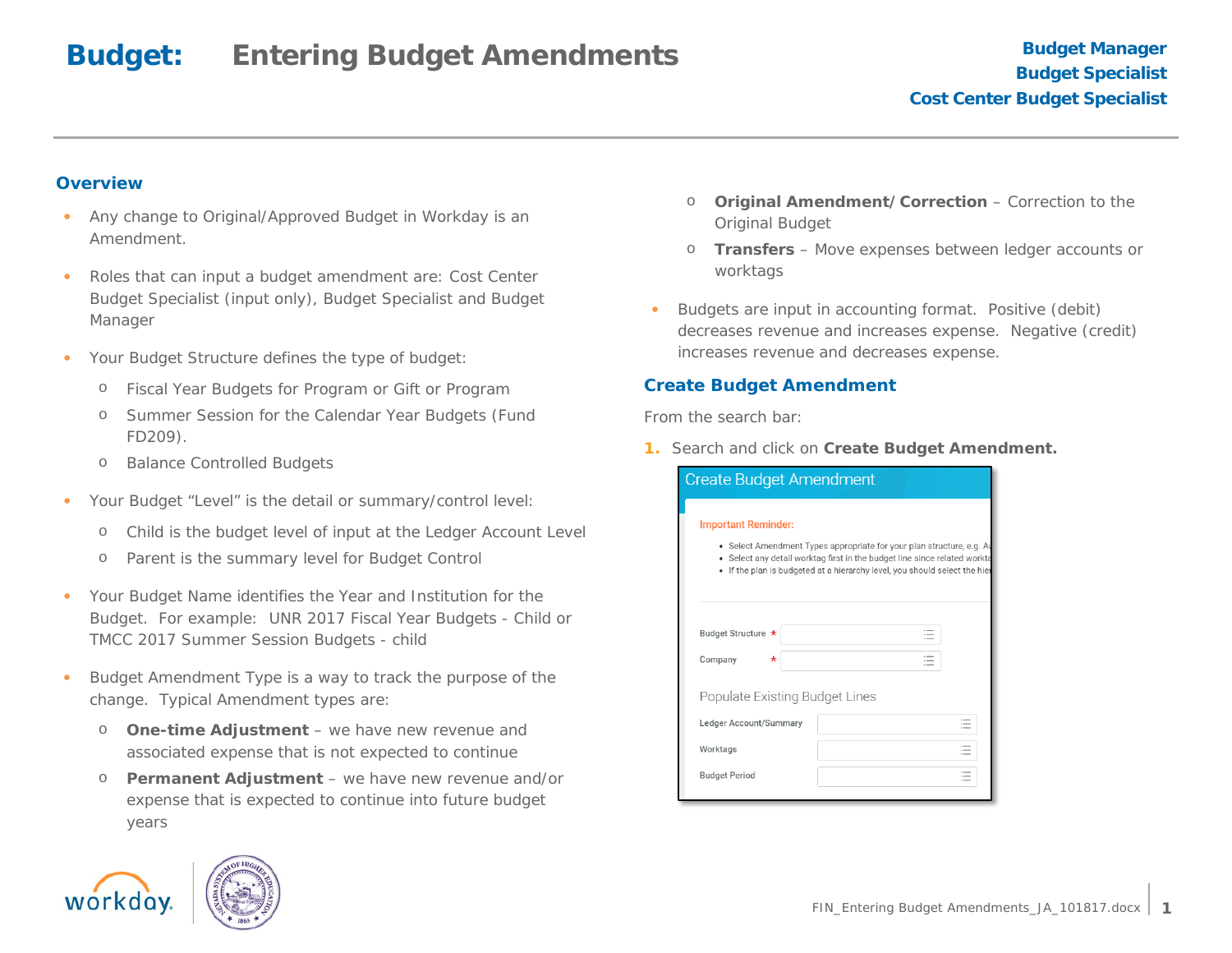#### **Overview**

- Any change to Original/Approved Budget in Workday is an Amendment.
- Roles that can input a budget amendment are: Cost Center Budget Specialist (input only), Budget Specialist and Budget Manager
- Your Budget Structure defines the type of budget:
	- o Fiscal Year Budgets for Program or Gift or Program
	- o Summer Session for the Calendar Year Budgets (Fund FD209).
	- o Balance Controlled Budgets
- Your Budget "Level" is the detail or summary/control level:
	- o Child is the budget level of input at the Ledger Account Level
	- o Parent is the summary level for Budget Control
- Your Budget Name identifies the Year and Institution for the Budget. For example: UNR 2017 Fiscal Year Budgets - Child or TMCC 2017 Summer Session Budgets - child
- Budget Amendment Type is a way to track the purpose of the change. Typical Amendment types are:
	- o **One-time Adjustment** we have new revenue and associated expense that is not expected to continue
	- o **Permanent Adjustment** we have new revenue and/or expense that is expected to continue into future budget years



- o **Transfers** Move expenses between ledger accounts or worktags
- Budgets are input in accounting format. Positive (debit) decreases revenue and increases expense. Negative (credit) increases revenue and decreases expense.

#### **Create Budget Amendment**

From the *search* bar:

**1.** Search and click on **Create Budget Amendment.**

| <b>Create Budget Amendment</b>                                                |                                                                                                                                                  |  |  |  |  |  |  |
|-------------------------------------------------------------------------------|--------------------------------------------------------------------------------------------------------------------------------------------------|--|--|--|--|--|--|
| <b>Important Reminder:</b><br>۰                                               | • Select Amendment Types appropriate for your plan structure, e.g. Av<br>Select any detail worktag first in the budget line since related workta |  |  |  |  |  |  |
| If the plan is budgeted at a hierarchy level, you should select the hier<br>٠ |                                                                                                                                                  |  |  |  |  |  |  |
| Budget Structure *                                                            |                                                                                                                                                  |  |  |  |  |  |  |
| Company<br>$\star$                                                            |                                                                                                                                                  |  |  |  |  |  |  |
| Populate Existing Budget Lines                                                |                                                                                                                                                  |  |  |  |  |  |  |
| Ledger Account/Summary                                                        | $\overline{\phantom{a}}$                                                                                                                         |  |  |  |  |  |  |
| Worktags                                                                      | $\overline{\phantom{a}}$                                                                                                                         |  |  |  |  |  |  |
| <b>Budget Period</b>                                                          |                                                                                                                                                  |  |  |  |  |  |  |
|                                                                               |                                                                                                                                                  |  |  |  |  |  |  |



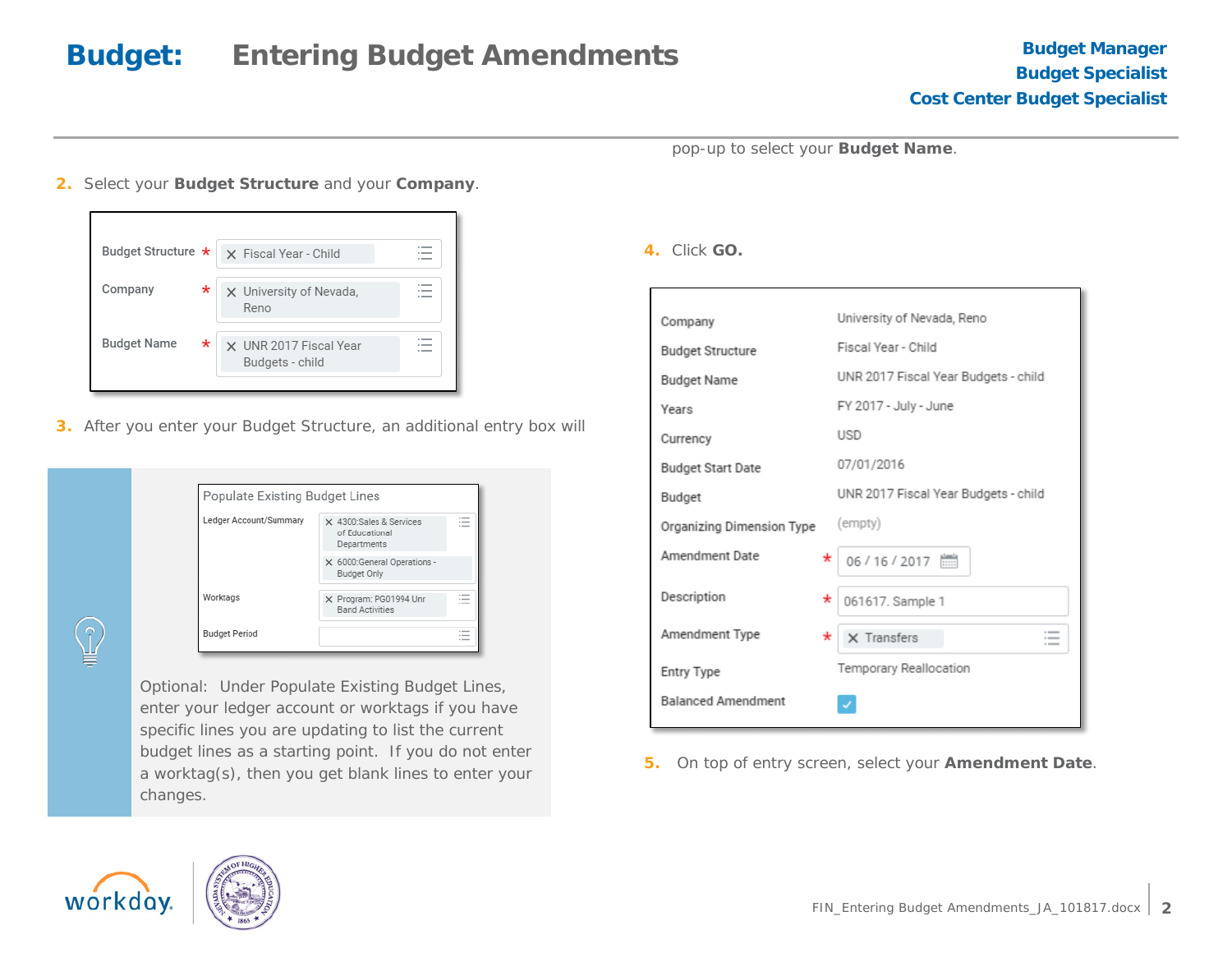pop-up to select your **Budget Name**.

**2.** Select your **Budget Structure** and your **Company**.



**3.** After you enter your Budget Structure, an additional entry box will

| Populate Existing Budget Lines |                                                          |                                                                |
|--------------------------------|----------------------------------------------------------|----------------------------------------------------------------|
| Ledger Account/Summary         | X 4300:Sales & Services<br>of Educational<br>Departments | $\overline{\phantom{a}}$<br>$\overline{\phantom{a}}$<br>$\sim$ |
|                                | X 6000:General Operations -<br><b>Budget Only</b>        |                                                                |
| Worktags                       | X Program: PG01994 Unr<br><b>Band Activities</b>         | $\sim$<br>$\sim$<br>$-$                                        |
| <b>Budget Period</b>           |                                                          | $\sim$<br>$-$                                                  |

*Optional*: Under *Populate Existing Budget Lines*, enter your ledger account or worktags if you have specific lines you are updating to list the current budget lines as a starting point. If you do not enter a worktag(s), then you get blank lines to enter your changes.

**4.** Click **GO.**

| Company                   | University of Nevada, Reno           |
|---------------------------|--------------------------------------|
| <b>Budget Structure</b>   | Fiscal Year - Child                  |
| <b>Budget Name</b>        | UNR 2017 Fiscal Year Budgets - child |
| Years                     | FY 2017 - July - June                |
| Currency                  | <b>USD</b>                           |
| <b>Budget Start Date</b>  | 07/01/2016                           |
| Budget                    | UNR 2017 Fiscal Year Budgets - child |
| Organizing Dimension Type | (empty)                              |
| Amendment Date<br>*       |                                      |
| Description<br>*          | 061617. Sample 1                     |
| Amendment Type<br>*       | $\times$ Transfers                   |
| Entry Type                | Temporary Reallocation               |
| <b>Balanced Amendment</b> |                                      |

**5.** On top of entry screen, select your **Amendment Date**.



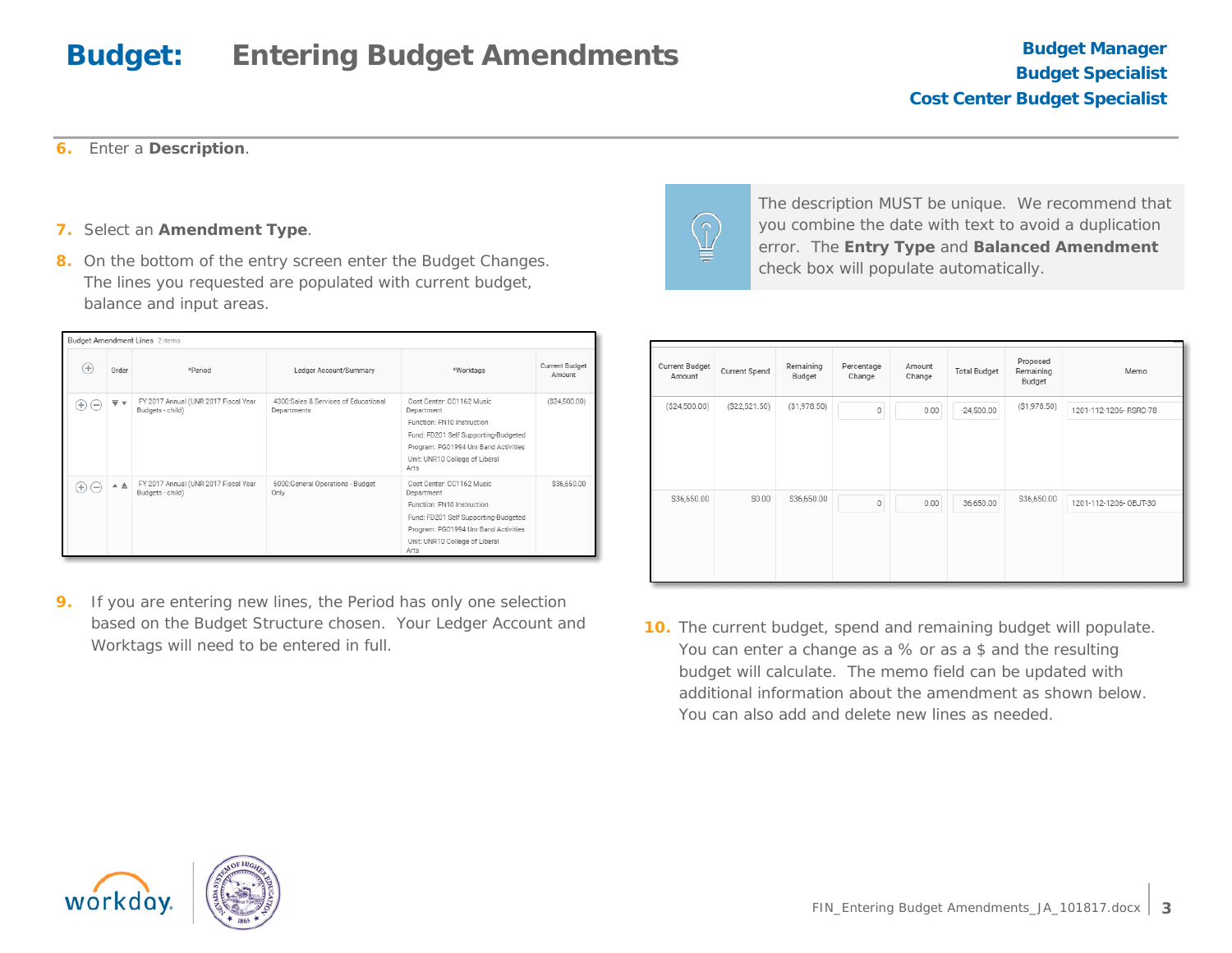**6.** Enter a **Description**.

- **7.** Select an **Amendment Type**.
- **8.** On the bottom of the entry screen enter the Budget Changes. The lines you requested are populated with current budget, balance and input areas.

| <b>Budget Amendment Lines</b> 2 items |       |                                                          |                                                     |                                                                                                                                                                                                 |                                 |  |
|---------------------------------------|-------|----------------------------------------------------------|-----------------------------------------------------|-------------------------------------------------------------------------------------------------------------------------------------------------------------------------------------------------|---------------------------------|--|
| $^{(+)}$                              | Order | *Period                                                  | Ledger Account/Summary                              | *Worktags                                                                                                                                                                                       | <b>Current Budget</b><br>Amount |  |
| $^{(+)}$<br>$(-)$                     | ⊽ ⊽   | FY 2017 Annual (UNR 2017 Fiscal Year<br>Budgets - child) | 4300:Sales & Services of Educational<br>Departments | Cost Center: CC1162 Music<br>Department<br>Function: FN10 Instruction<br>Fund: FD201 Self Supporting-Budgeted<br>Program: PG01994 Unr Band Activities<br>Unit: UNR10 College of Liberal<br>Arts | (S24, 500.00)                   |  |
| $(-)$<br>$^{(+)}$                     | ▲ ▲   | FY 2017 Annual (UNR 2017 Fiscal Year<br>Budgets - child) | 6000:General Operations - Budget<br>Only            | Cost Center: CC1162 Music<br>Department<br>Function: FN10 Instruction<br>Fund: FD201 Self Supporting-Budgeted<br>Program: PG01994 Unr Band Activities<br>Unit: UNR10 College of Liberal<br>Arts | \$36,650.00                     |  |

**9.** If you are entering new lines, the Period has only one selection based on the Budget Structure chosen. Your Ledger Account and Worktags will need to be entered in full.



The description MUST be unique. We recommend that you combine the date with text to avoid a duplication error. The **Entry Type** and **Balanced Amendment** check box will populate automatically.

| Current Budget<br>Amount | Current Spend  | Remaining<br>Budget | Percentage<br>Change | Amount<br>Change | <b>Total Budget</b> | Proposed<br>Remaining<br>Budget | Memo                   |
|--------------------------|----------------|---------------------|----------------------|------------------|---------------------|---------------------------------|------------------------|
| (S24, 500.00)            | ( \$22,521.50) | (S1,978.50)         | $\mathbf 0$          | 0.00             | $-24,500.00$        | (\$1,978.50)                    | 1201-112-1206-RSRC-78  |
| \$36,650.00              | \$0.00         | \$36,650.00         | $\mathbb O$          | 0.00             | 36,650.00           | \$36,650.00                     | 1201-112-1206- OBJT-30 |

**10.** The current budget, spend and remaining budget will populate. You can enter a change as a % or as a \$ and the resulting budget will calculate. The memo field can be updated with additional information about the amendment as shown below. You can also add and delete new lines as needed.